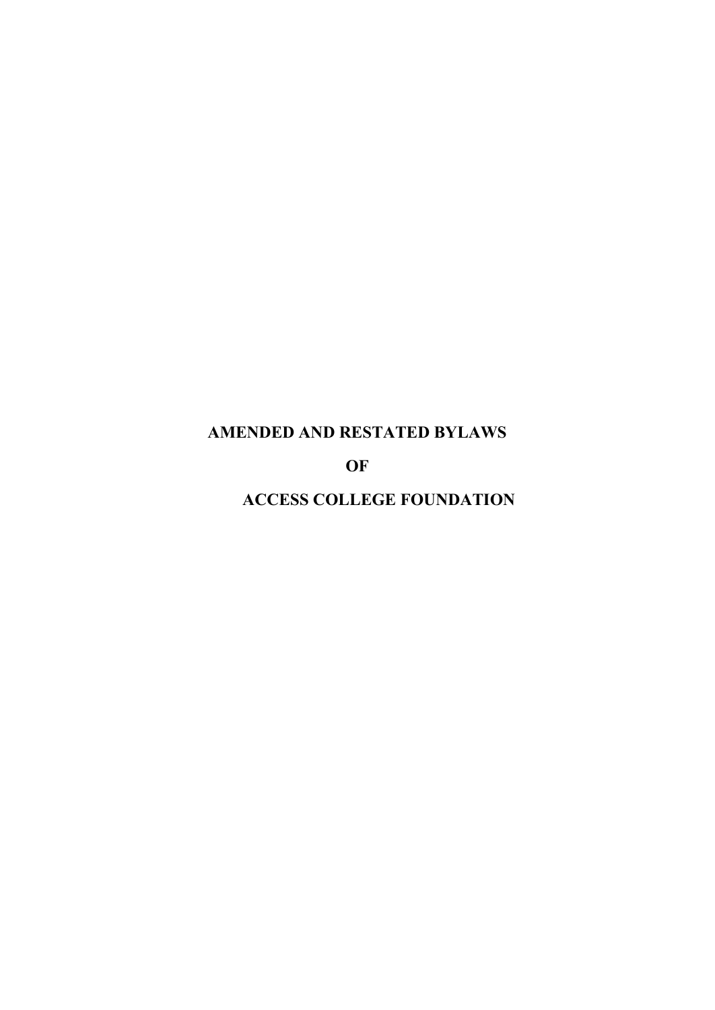# **AMENDED AND RESTATED BYLAWS**

**OF**

**ACCESS COLLEGE FOUNDATION**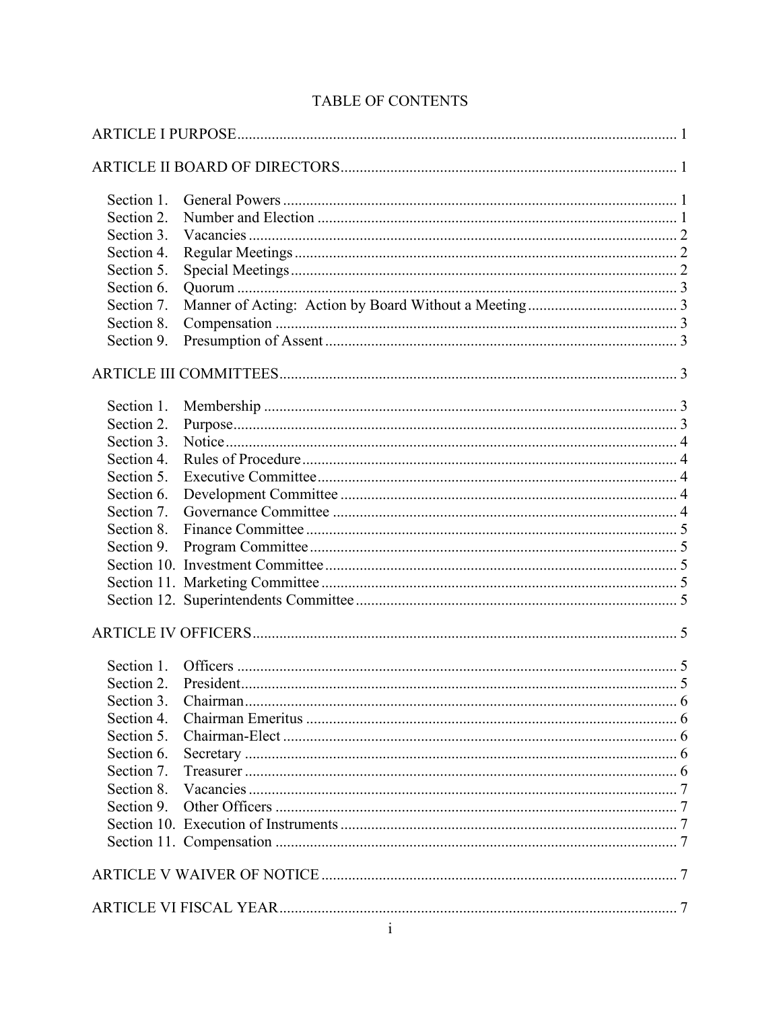| Section 1. |  |  |  |
|------------|--|--|--|
| Section 2. |  |  |  |
| Section 3. |  |  |  |
| Section 4. |  |  |  |
| Section 5. |  |  |  |
| Section 6. |  |  |  |
| Section 7. |  |  |  |
| Section 8. |  |  |  |
| Section 9. |  |  |  |
|            |  |  |  |
| Section 1. |  |  |  |
| Section 2. |  |  |  |
| Section 3. |  |  |  |
| Section 4. |  |  |  |
| Section 5. |  |  |  |
| Section 6. |  |  |  |
| Section 7. |  |  |  |
| Section 8. |  |  |  |
| Section 9. |  |  |  |
|            |  |  |  |
|            |  |  |  |
|            |  |  |  |
|            |  |  |  |
| Section 1. |  |  |  |
| Section 2. |  |  |  |
| Section 3. |  |  |  |
| Section 4. |  |  |  |
| Section 5. |  |  |  |
| Section 6. |  |  |  |
| Section 7. |  |  |  |
| Section 8. |  |  |  |
| Section 9. |  |  |  |
|            |  |  |  |
|            |  |  |  |
|            |  |  |  |
|            |  |  |  |

## TABLE OF CONTENTS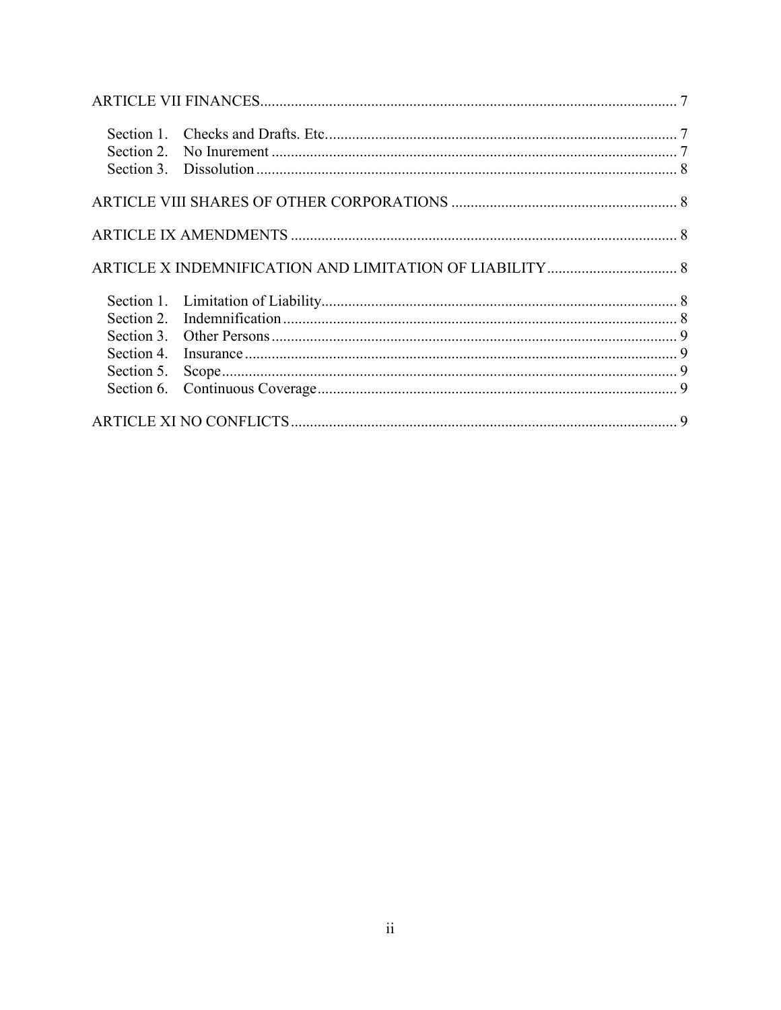| Section 5. |  |
|------------|--|
|            |  |
|            |  |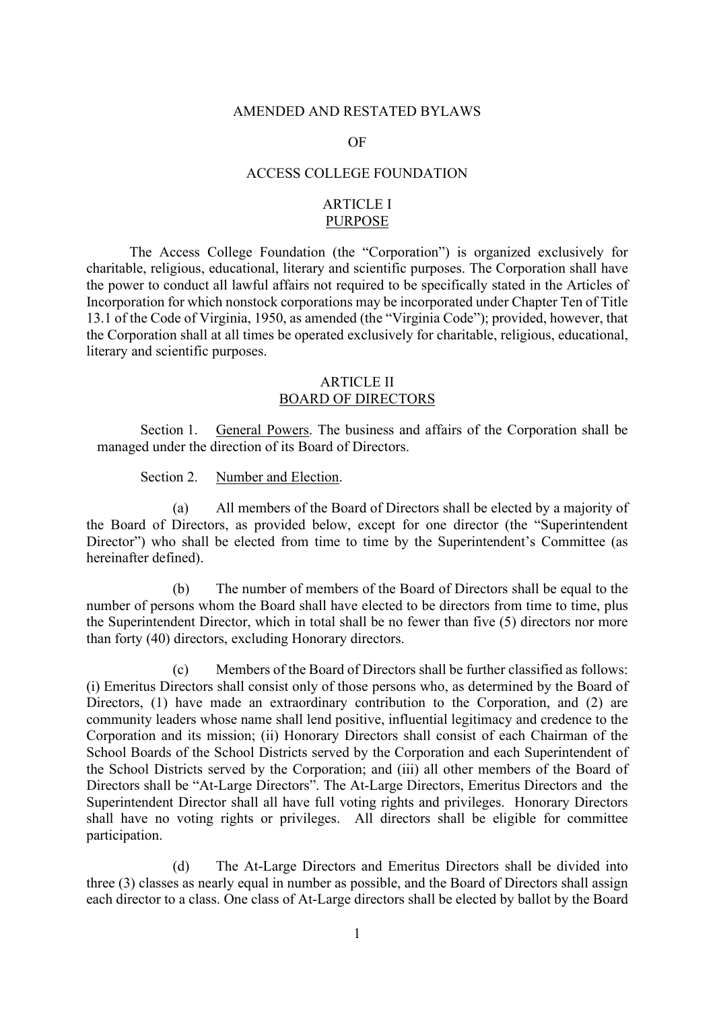#### AMENDED AND RESTATED BYLAWS

#### OF

#### ACCESS COLLEGE FOUNDATION

## ARTICLE I PURPOSE

<span id="page-3-1"></span><span id="page-3-0"></span>The Access College Foundation (the "Corporation") is organized exclusively for charitable, religious, educational, literary and scientific purposes. The Corporation shall have the power to conduct all lawful affairs not required to be specifically stated in the Articles of Incorporation for which nonstock corporations may be incorporated under Chapter Ten of Title 13.1 of the Code of Virginia, 1950, as amended (the "Virginia Code"); provided, however, that the Corporation shall at all times be operated exclusively for charitable, religious, educational, literary and scientific purposes.

## ARTICLE II BOARD OF DIRECTORS

<span id="page-3-3"></span><span id="page-3-2"></span>Section 1. General Powers. The business and affairs of the Corporation shall be managed under the direction of its Board of Directors.

Section 2. Number and Election.

(a) All members of the Board of Directors shall be elected by a majority of the Board of Directors, as provided below, except for one director (the "Superintendent Director") who shall be elected from time to time by the Superintendent's Committee (as hereinafter defined).

(b) The number of members of the Board of Directors shall be equal to the number of persons whom the Board shall have elected to be directors from time to time, plus the Superintendent Director, which in total shall be no fewer than five (5) directors nor more than forty (40) directors, excluding Honorary directors.

(c) Members of the Board of Directors shall be further classified as follows: (i) Emeritus Directors shall consist only of those persons who, as determined by the Board of Directors, (1) have made an extraordinary contribution to the Corporation, and (2) are community leaders whose name shall lend positive, influential legitimacy and credence to the Corporation and its mission; (ii) Honorary Directors shall consist of each Chairman of the School Boards of the School Districts served by the Corporation and each Superintendent of the School Districts served by the Corporation; and (iii) all other members of the Board of Directors shall be "At-Large Directors". The At-Large Directors, Emeritus Directors and the Superintendent Director shall all have full voting rights and privileges. Honorary Directors shall have no voting rights or privileges. All directors shall be eligible for committee participation.

(d) The At-Large Directors and Emeritus Directors shall be divided into three (3) classes as nearly equal in number as possible, and the Board of Directors shall assign each director to a class. One class of At-Large directors shall be elected by ballot by the Board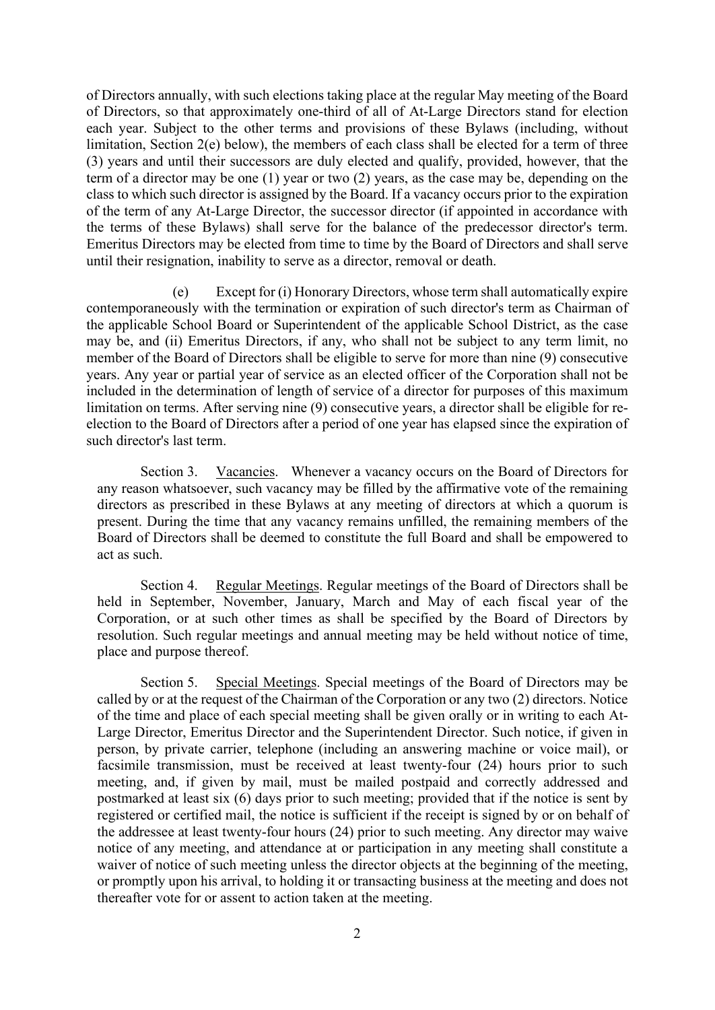of Directors annually, with such elections taking place at the regular May meeting of the Board of Directors, so that approximately one-third of all of At-Large Directors stand for election each year. Subject to the other terms and provisions of these Bylaws (including, without limitation, Section 2(e) below), the members of each class shall be elected for a term of three (3) years and until their successors are duly elected and qualify, provided, however, that the term of a director may be one (1) year or two (2) years, as the case may be, depending on the class to which such director is assigned by the Board. If a vacancy occurs prior to the expiration of the term of any At-Large Director, the successor director (if appointed in accordance with the terms of these Bylaws) shall serve for the balance of the predecessor director's term. Emeritus Directors may be elected from time to time by the Board of Directors and shall serve until their resignation, inability to serve as a director, removal or death.

Except for (i) Honorary Directors, whose term shall automatically expire contemporaneously with the termination or expiration of such director's term as Chairman of the applicable School Board or Superintendent of the applicable School District, as the case may be, and (ii) Emeritus Directors, if any, who shall not be subject to any term limit, no member of the Board of Directors shall be eligible to serve for more than nine (9) consecutive years. Any year or partial year of service as an elected officer of the Corporation shall not be included in the determination of length of service of a director for purposes of this maximum limitation on terms. After serving nine (9) consecutive years, a director shall be eligible for reelection to the Board of Directors after a period of one year has elapsed since the expiration of such director's last term.

<span id="page-4-1"></span><span id="page-4-0"></span>Section 3. Vacancies. Whenever a vacancy occurs on the Board of Directors for any reason whatsoever, such vacancy may be filled by the affirmative vote of the remaining directors as prescribed in these Bylaws at any meeting of directors at which a quorum is present. During the time that any vacancy remains unfilled, the remaining members of the Board of Directors shall be deemed to constitute the full Board and shall be empowered to act as such.

<span id="page-4-2"></span>Section 4. Regular Meetings. Regular meetings of the Board of Directors shall be held in September, November, January, March and May of each fiscal year of the Corporation, or at such other times as shall be specified by the Board of Directors by resolution. Such regular meetings and annual meeting may be held without notice of time, place and purpose thereof.

Section 5. Special Meetings. Special meetings of the Board of Directors may be called by or at the request of the Chairman of the Corporation or any two (2) directors. Notice of the time and place of each special meeting shall be given orally or in writing to each At-Large Director, Emeritus Director and the Superintendent Director. Such notice, if given in person, by private carrier, telephone (including an answering machine or voice mail), or facsimile transmission, must be received at least twenty-four (24) hours prior to such meeting, and, if given by mail, must be mailed postpaid and correctly addressed and postmarked at least six (6) days prior to such meeting; provided that if the notice is sent by registered or certified mail, the notice is sufficient if the receipt is signed by or on behalf of the addressee at least twenty-four hours (24) prior to such meeting. Any director may waive notice of any meeting, and attendance at or participation in any meeting shall constitute a waiver of notice of such meeting unless the director objects at the beginning of the meeting, or promptly upon his arrival, to holding it or transacting business at the meeting and does not thereafter vote for or assent to action taken at the meeting.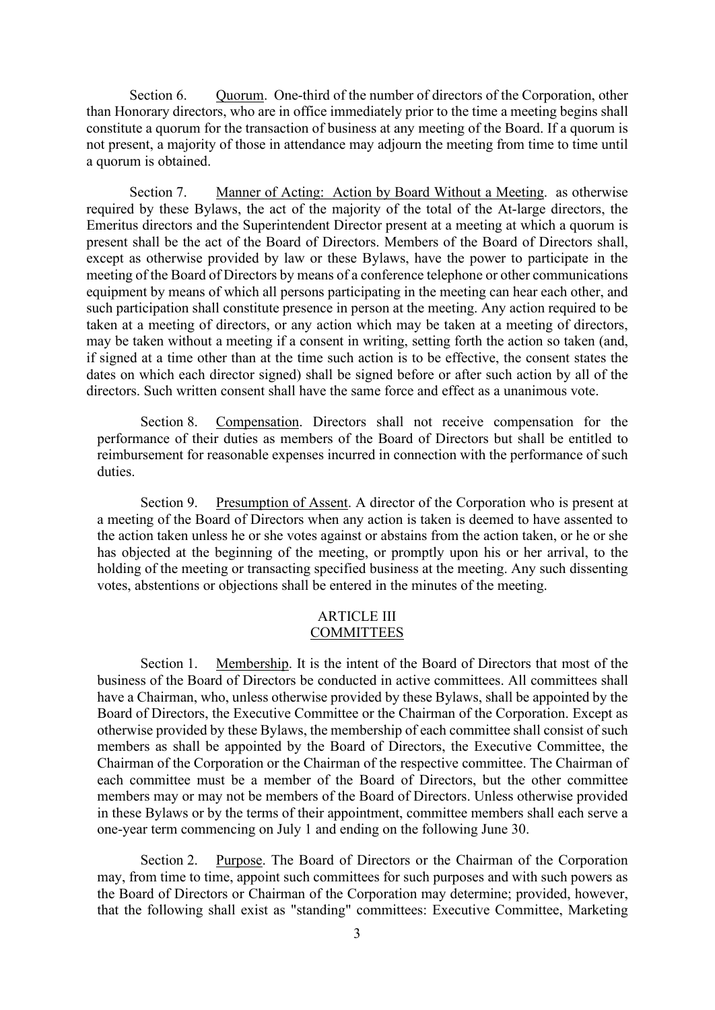<span id="page-5-1"></span><span id="page-5-0"></span>Section 6. Quorum. One-third of the number of directors of the Corporation, other than Honorary directors, who are in office immediately prior to the time a meeting begins shall constitute a quorum for the transaction of business at any meeting of the Board. If a quorum is not present, a majority of those in attendance may adjourn the meeting from time to time until a quorum is obtained.

Section 7. Manner of Acting: Action by Board Without a Meeting. as otherwise required by these Bylaws, the act of the majority of the total of the At-large directors, the Emeritus directors and the Superintendent Director present at a meeting at which a quorum is present shall be the act of the Board of Directors. Members of the Board of Directors shall, except as otherwise provided by law or these Bylaws, have the power to participate in the meeting of the Board of Directors by means of a conference telephone or other communications equipment by means of which all persons participating in the meeting can hear each other, and such participation shall constitute presence in person at the meeting. Any action required to be taken at a meeting of directors, or any action which may be taken at a meeting of directors, may be taken without a meeting if a consent in writing, setting forth the action so taken (and, if signed at a time other than at the time such action is to be effective, the consent states the dates on which each director signed) shall be signed before or after such action by all of the directors. Such written consent shall have the same force and effect as a unanimous vote.

<span id="page-5-3"></span><span id="page-5-2"></span>Section 8. Compensation. Directors shall not receive compensation for the performance of their duties as members of the Board of Directors but shall be entitled to reimbursement for reasonable expenses incurred in connection with the performance of such duties.

<span id="page-5-4"></span>Section 9. Presumption of Assent. A director of the Corporation who is present at a meeting of the Board of Directors when any action is taken is deemed to have assented to the action taken unless he or she votes against or abstains from the action taken, or he or she has objected at the beginning of the meeting, or promptly upon his or her arrival, to the holding of the meeting or transacting specified business at the meeting. Any such dissenting votes, abstentions or objections shall be entered in the minutes of the meeting.

#### ARTICLE III **COMMITTEES**

<span id="page-5-5"></span>Section 1. Membership. It is the intent of the Board of Directors that most of the business of the Board of Directors be conducted in active committees. All committees shall have a Chairman, who, unless otherwise provided by these Bylaws, shall be appointed by the Board of Directors, the Executive Committee or the Chairman of the Corporation. Except as otherwise provided by these Bylaws, the membership of each committee shall consist of such members as shall be appointed by the Board of Directors, the Executive Committee, the Chairman of the Corporation or the Chairman of the respective committee. The Chairman of each committee must be a member of the Board of Directors, but the other committee members may or may not be members of the Board of Directors. Unless otherwise provided in these Bylaws or by the terms of their appointment, committee members shall each serve a one-year term commencing on July 1 and ending on the following June 30.

<span id="page-5-6"></span>Section 2. Purpose. The Board of Directors or the Chairman of the Corporation may, from time to time, appoint such committees for such purposes and with such powers as the Board of Directors or Chairman of the Corporation may determine; provided, however, that the following shall exist as "standing" committees: Executive Committee, Marketing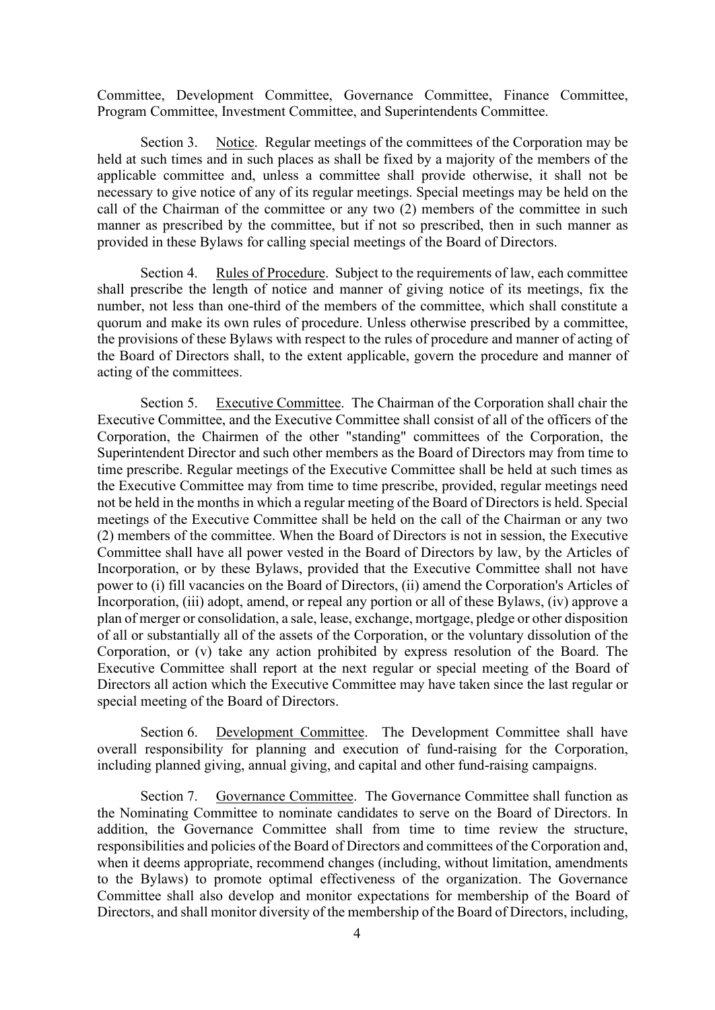<span id="page-6-0"></span>Committee, Development Committee, Governance Committee, Finance Committee, Program Committee, Investment Committee, and Superintendents Committee.

Section 3. Notice. Regular meetings of the committees of the Corporation may be held at such times and in such places as shall be fixed by a majority of the members of the applicable committee and, unless a committee shall provide otherwise, it shall not be necessary to give notice of any of its regular meetings. Special meetings may be held on the call of the Chairman of the committee or any two (2) members of the committee in such manner as prescribed by the committee, but if not so prescribed, then in such manner as provided in these Bylaws for calling special meetings of the Board of Directors.

<span id="page-6-1"></span>Section 4. Rules of Procedure. Subject to the requirements of law, each committee shall prescribe the length of notice and manner of giving notice of its meetings, fix the number, not less than one-third of the members of the committee, which shall constitute a quorum and make its own rules of procedure. Unless otherwise prescribed by a committee, the provisions of these Bylaws with respect to the rules of procedure and manner of acting of the Board of Directors shall, to the extent applicable, govern the procedure and manner of acting of the committees.

<span id="page-6-2"></span>Section 5. Executive Committee. The Chairman of the Corporation shall chair the Executive Committee, and the Executive Committee shall consist of all of the officers of the Corporation, the Chairmen of the other "standing" committees of the Corporation, the Superintendent Director and such other members as the Board of Directors may from time to time prescribe. Regular meetings of the Executive Committee shall be held at such times as the Executive Committee may from time to time prescribe, provided, regular meetings need not be held in the months in which a regular meeting of the Board of Directors is held. Special meetings of the Executive Committee shall be held on the call of the Chairman or any two (2) members of the committee. When the Board of Directors is not in session, the Executive Committee shall have all power vested in the Board of Directors by law, by the Articles of Incorporation, or by these Bylaws, provided that the Executive Committee shall not have power to (i) fill vacancies on the Board of Directors, (ii) amend the Corporation's Articles of Incorporation, (iii) adopt, amend, or repeal any portion or all of these Bylaws, (iv) approve a plan of merger or consolidation, a sale, lease, exchange, mortgage, pledge or other disposition of all or substantially all of the assets of the Corporation, or the voluntary dissolution of the Corporation, or (v) take any action prohibited by express resolution of the Board. The Executive Committee shall report at the next regular or special meeting of the Board of Directors all action which the Executive Committee may have taken since the last regular or special meeting of the Board of Directors.

<span id="page-6-4"></span><span id="page-6-3"></span>Section 6. Development Committee. The Development Committee shall have overall responsibility for planning and execution of fund-raising for the Corporation, including planned giving, annual giving, and capital and other fund-raising campaigns.

Section 7. Governance Committee. The Governance Committee shall function as the Nominating Committee to nominate candidates to serve on the Board of Directors. In addition, the Governance Committee shall from time to time review the structure, responsibilities and policies of the Board of Directors and committees of the Corporation and, when it deems appropriate, recommend changes (including, without limitation, amendments to the Bylaws) to promote optimal effectiveness of the organization. The Governance Committee shall also develop and monitor expectations for membership of the Board of Directors, and shall monitor diversity of the membership of the Board of Directors, including,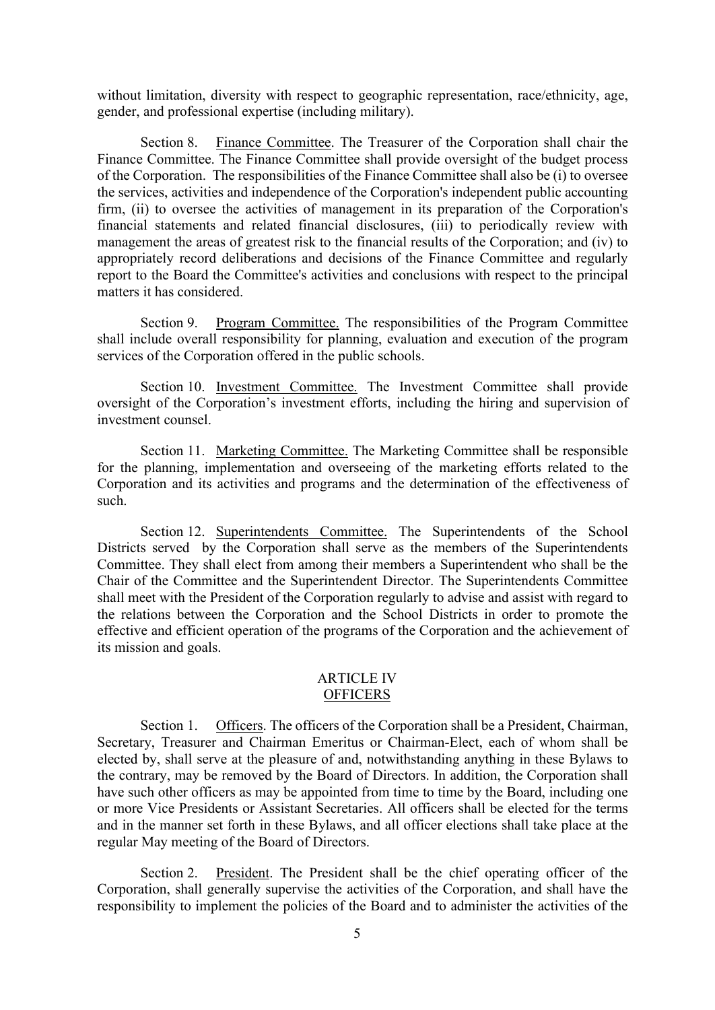<span id="page-7-0"></span>without limitation, diversity with respect to geographic representation, race/ethnicity, age, gender, and professional expertise (including military).

Section 8. Finance Committee. The Treasurer of the Corporation shall chair the Finance Committee. The Finance Committee shall provide oversight of the budget process of the Corporation. The responsibilities of the Finance Committee shall also be (i) to oversee the services, activities and independence of the Corporation's independent public accounting firm, (ii) to oversee the activities of management in its preparation of the Corporation's financial statements and related financial disclosures, (iii) to periodically review with management the areas of greatest risk to the financial results of the Corporation; and (iv) to appropriately record deliberations and decisions of the Finance Committee and regularly report to the Board the Committee's activities and conclusions with respect to the principal matters it has considered.

<span id="page-7-2"></span><span id="page-7-1"></span>Section 9. Program Committee. The responsibilities of the Program Committee shall include overall responsibility for planning, evaluation and execution of the program services of the Corporation offered in the public schools.

<span id="page-7-3"></span>Section 10. Investment Committee. The Investment Committee shall provide oversight of the Corporation's investment efforts, including the hiring and supervision of investment counsel.

<span id="page-7-4"></span>Section 11. Marketing Committee. The Marketing Committee shall be responsible for the planning, implementation and overseeing of the marketing efforts related to the Corporation and its activities and programs and the determination of the effectiveness of such.

Section 12. Superintendents Committee. The Superintendents of the School Districts served by the Corporation shall serve as the members of the Superintendents Committee. They shall elect from among their members a Superintendent who shall be the Chair of the Committee and the Superintendent Director. The Superintendents Committee shall meet with the President of the Corporation regularly to advise and assist with regard to the relations between the Corporation and the School Districts in order to promote the effective and efficient operation of the programs of the Corporation and the achievement of its mission and goals.

## ARTICLE IV **OFFICERS**

<span id="page-7-6"></span><span id="page-7-5"></span>Section 1. Officers. The officers of the Corporation shall be a President, Chairman, Secretary, Treasurer and Chairman Emeritus or Chairman-Elect, each of whom shall be elected by, shall serve at the pleasure of and, notwithstanding anything in these Bylaws to the contrary, may be removed by the Board of Directors. In addition, the Corporation shall have such other officers as may be appointed from time to time by the Board, including one or more Vice Presidents or Assistant Secretaries. All officers shall be elected for the terms and in the manner set forth in these Bylaws, and all officer elections shall take place at the regular May meeting of the Board of Directors.

<span id="page-7-7"></span>Section 2. President. The President shall be the chief operating officer of the Corporation, shall generally supervise the activities of the Corporation, and shall have the responsibility to implement the policies of the Board and to administer the activities of the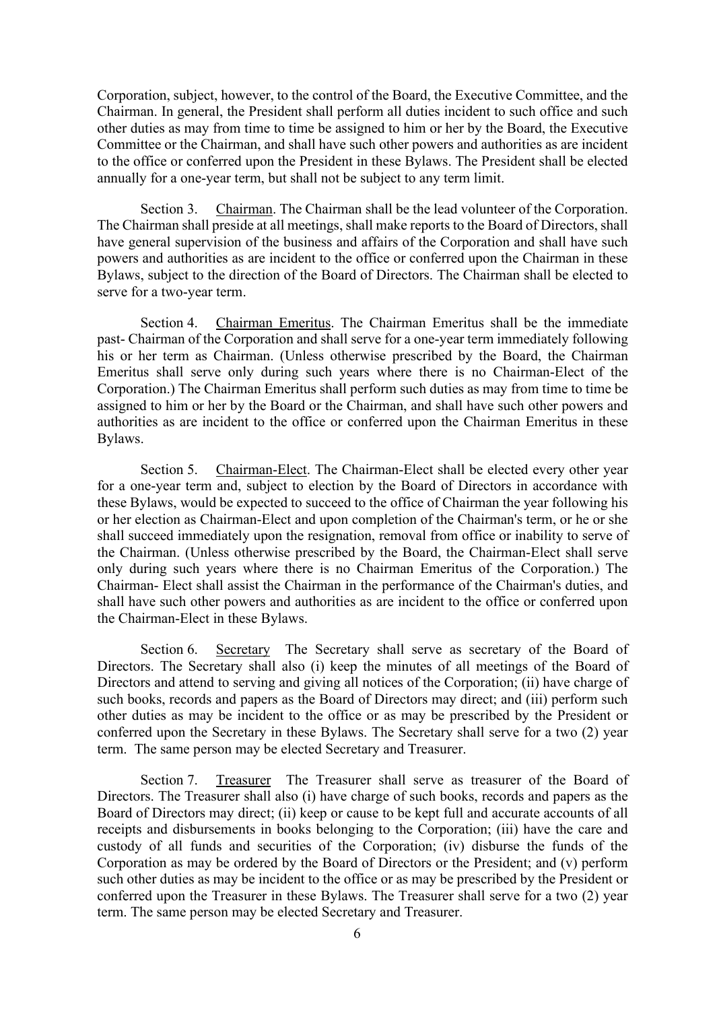<span id="page-8-0"></span>Corporation, subject, however, to the control of the Board, the Executive Committee, and the Chairman. In general, the President shall perform all duties incident to such office and such other duties as may from time to time be assigned to him or her by the Board, the Executive Committee or the Chairman, and shall have such other powers and authorities as are incident to the office or conferred upon the President in these Bylaws. The President shall be elected annually for a one-year term, but shall not be subject to any term limit.

<span id="page-8-1"></span>Section 3. Chairman. The Chairman shall be the lead volunteer of the Corporation. The Chairman shall preside at all meetings, shall make reports to the Board of Directors, shall have general supervision of the business and affairs of the Corporation and shall have such powers and authorities as are incident to the office or conferred upon the Chairman in these Bylaws, subject to the direction of the Board of Directors. The Chairman shall be elected to serve for a two-year term.

Section 4. Chairman Emeritus. The Chairman Emeritus shall be the immediate past- Chairman of the Corporation and shall serve for a one-year term immediately following his or her term as Chairman. (Unless otherwise prescribed by the Board, the Chairman Emeritus shall serve only during such years where there is no Chairman-Elect of the Corporation.) The Chairman Emeritus shall perform such duties as may from time to time be assigned to him or her by the Board or the Chairman, and shall have such other powers and authorities as are incident to the office or conferred upon the Chairman Emeritus in these Bylaws.

<span id="page-8-2"></span>Section 5. Chairman-Elect. The Chairman-Elect shall be elected every other year for a one-year term and, subject to election by the Board of Directors in accordance with these Bylaws, would be expected to succeed to the office of Chairman the year following his or her election as Chairman-Elect and upon completion of the Chairman's term, or he or she shall succeed immediately upon the resignation, removal from office or inability to serve of the Chairman. (Unless otherwise prescribed by the Board, the Chairman-Elect shall serve only during such years where there is no Chairman Emeritus of the Corporation.) The Chairman- Elect shall assist the Chairman in the performance of the Chairman's duties, and shall have such other powers and authorities as are incident to the office or conferred upon the Chairman-Elect in these Bylaws.

<span id="page-8-3"></span>Section 6. Secretary The Secretary shall serve as secretary of the Board of Directors. The Secretary shall also (i) keep the minutes of all meetings of the Board of Directors and attend to serving and giving all notices of the Corporation; (ii) have charge of such books, records and papers as the Board of Directors may direct; and (iii) perform such other duties as may be incident to the office or as may be prescribed by the President or conferred upon the Secretary in these Bylaws. The Secretary shall serve for a two (2) year term. The same person may be elected Secretary and Treasurer.

<span id="page-8-4"></span>Section 7. Treasurer The Treasurer shall serve as treasurer of the Board of Directors. The Treasurer shall also (i) have charge of such books, records and papers as the Board of Directors may direct; (ii) keep or cause to be kept full and accurate accounts of all receipts and disbursements in books belonging to the Corporation; (iii) have the care and custody of all funds and securities of the Corporation; (iv) disburse the funds of the Corporation as may be ordered by the Board of Directors or the President; and (v) perform such other duties as may be incident to the office or as may be prescribed by the President or conferred upon the Treasurer in these Bylaws. The Treasurer shall serve for a two (2) year term. The same person may be elected Secretary and Treasurer.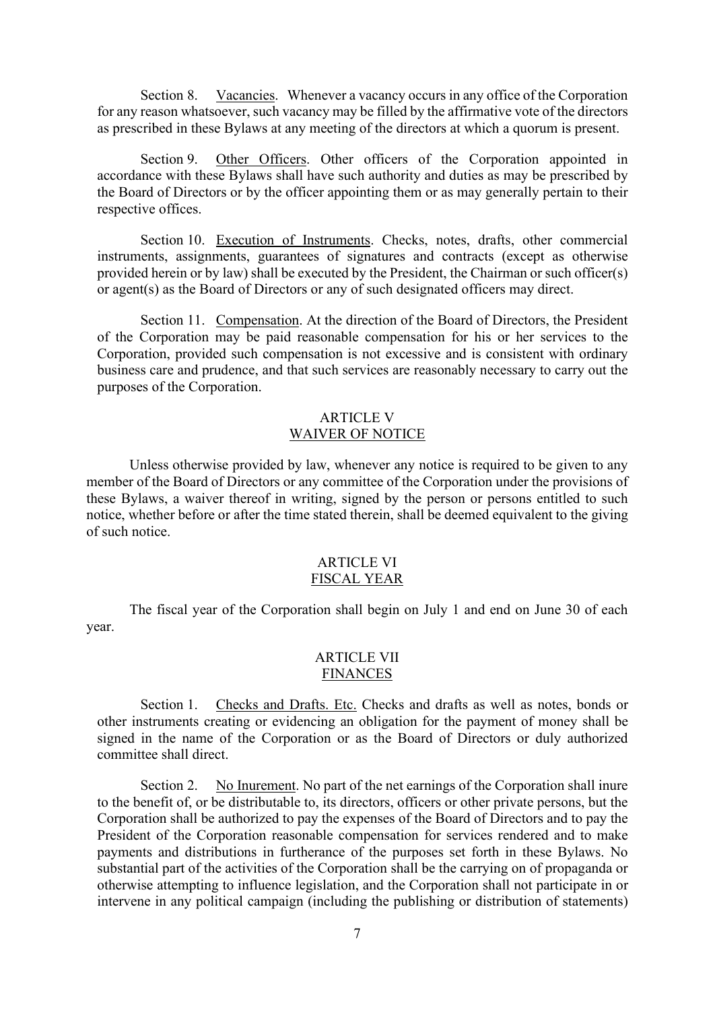<span id="page-9-1"></span><span id="page-9-0"></span>Section 8. Vacancies. Whenever a vacancy occurs in any office of the Corporation for any reason whatsoever, such vacancy may be filled by the affirmative vote of the directors as prescribed in these Bylaws at any meeting of the directors at which a quorum is present.

<span id="page-9-2"></span>Section 9. Other Officers. Other officers of the Corporation appointed in accordance with these Bylaws shall have such authority and duties as may be prescribed by the Board of Directors or by the officer appointing them or as may generally pertain to their respective offices.

<span id="page-9-3"></span>Section 10. Execution of Instruments. Checks, notes, drafts, other commercial instruments, assignments, guarantees of signatures and contracts (except as otherwise provided herein or by law) shall be executed by the President, the Chairman or such officer(s) or agent(s) as the Board of Directors or any of such designated officers may direct.

<span id="page-9-4"></span>Section 11. Compensation. At the direction of the Board of Directors, the President of the Corporation may be paid reasonable compensation for his or her services to the Corporation, provided such compensation is not excessive and is consistent with ordinary business care and prudence, and that such services are reasonably necessary to carry out the purposes of the Corporation.

## ARTICLE V WAIVER OF NOTICE

<span id="page-9-5"></span>Unless otherwise provided by law, whenever any notice is required to be given to any member of the Board of Directors or any committee of the Corporation under the provisions of these Bylaws, a waiver thereof in writing, signed by the person or persons entitled to such notice, whether before or after the time stated therein, shall be deemed equivalent to the giving of such notice.

## ARTICLE VI FISCAL YEAR

<span id="page-9-7"></span><span id="page-9-6"></span>The fiscal year of the Corporation shall begin on July 1 and end on June 30 of each year.

## ARTICLE VII **FINANCES**

<span id="page-9-8"></span>Section 1. Checks and Drafts. Etc. Checks and drafts as well as notes, bonds or other instruments creating or evidencing an obligation for the payment of money shall be signed in the name of the Corporation or as the Board of Directors or duly authorized committee shall direct.

Section 2. No Inurement. No part of the net earnings of the Corporation shall inure to the benefit of, or be distributable to, its directors, officers or other private persons, but the Corporation shall be authorized to pay the expenses of the Board of Directors and to pay the President of the Corporation reasonable compensation for services rendered and to make payments and distributions in furtherance of the purposes set forth in these Bylaws. No substantial part of the activities of the Corporation shall be the carrying on of propaganda or otherwise attempting to influence legislation, and the Corporation shall not participate in or intervene in any political campaign (including the publishing or distribution of statements)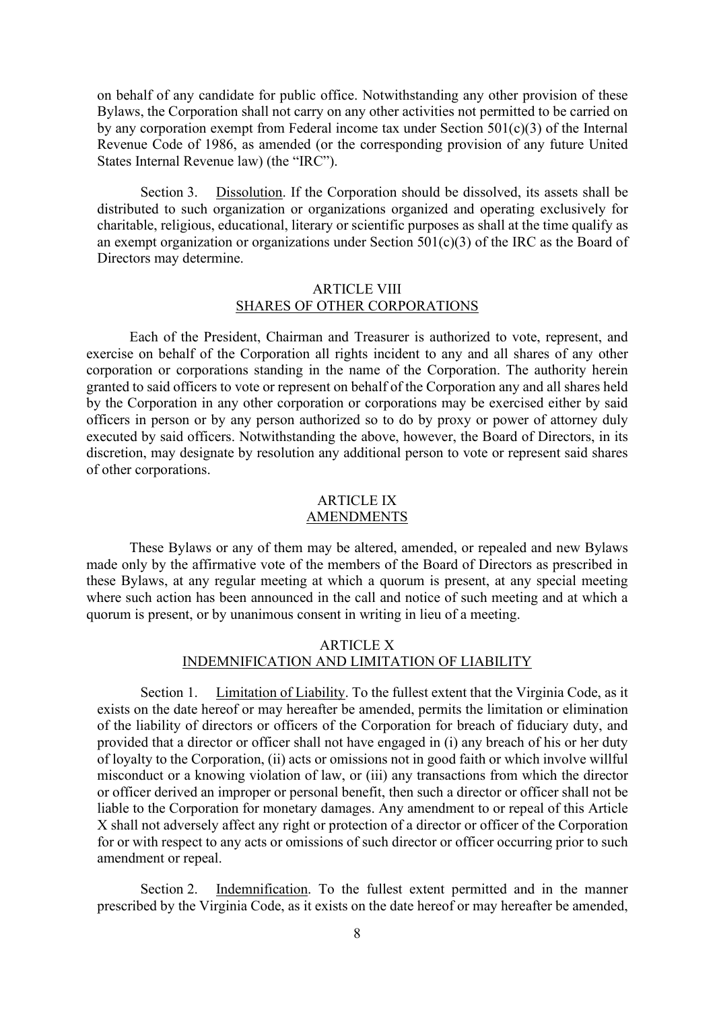<span id="page-10-0"></span>on behalf of any candidate for public office. Notwithstanding any other provision of these Bylaws, the Corporation shall not carry on any other activities not permitted to be carried on by any corporation exempt from Federal income tax under Section 501(c)(3) of the Internal Revenue Code of 1986, as amended (or the corresponding provision of any future United States Internal Revenue law) (the "IRC").

<span id="page-10-1"></span>Section 3. Dissolution. If the Corporation should be dissolved, its assets shall be distributed to such organization or organizations organized and operating exclusively for charitable, religious, educational, literary or scientific purposes as shall at the time qualify as an exempt organization or organizations under Section 501(c)(3) of the IRC as the Board of Directors may determine.

## ARTICLE VIII SHARES OF OTHER CORPORATIONS

Each of the President, Chairman and Treasurer is authorized to vote, represent, and exercise on behalf of the Corporation all rights incident to any and all shares of any other corporation or corporations standing in the name of the Corporation. The authority herein granted to said officers to vote or represent on behalf of the Corporation any and all shares held by the Corporation in any other corporation or corporations may be exercised either by said officers in person or by any person authorized so to do by proxy or power of attorney duly executed by said officers. Notwithstanding the above, however, the Board of Directors, in its discretion, may designate by resolution any additional person to vote or represent said shares of other corporations.

#### ARTICLE IX AMENDMENTS

<span id="page-10-3"></span><span id="page-10-2"></span>These Bylaws or any of them may be altered, amended, or repealed and new Bylaws made only by the affirmative vote of the members of the Board of Directors as prescribed in these Bylaws, at any regular meeting at which a quorum is present, at any special meeting where such action has been announced in the call and notice of such meeting and at which a quorum is present, or by unanimous consent in writing in lieu of a meeting.

## ARTICLE X INDEMNIFICATION AND LIMITATION OF LIABILITY

<span id="page-10-4"></span>Section 1. Limitation of Liability. To the fullest extent that the Virginia Code, as it exists on the date hereof or may hereafter be amended, permits the limitation or elimination of the liability of directors or officers of the Corporation for breach of fiduciary duty, and provided that a director or officer shall not have engaged in (i) any breach of his or her duty of loyalty to the Corporation, (ii) acts or omissions not in good faith or which involve willful misconduct or a knowing violation of law, or (iii) any transactions from which the director or officer derived an improper or personal benefit, then such a director or officer shall not be liable to the Corporation for monetary damages. Any amendment to or repeal of this Article X shall not adversely affect any right or protection of a director or officer of the Corporation for or with respect to any acts or omissions of such director or officer occurring prior to such amendment or repeal.

<span id="page-10-5"></span>Section 2. Indemnification. To the fullest extent permitted and in the manner prescribed by the Virginia Code, as it exists on the date hereof or may hereafter be amended,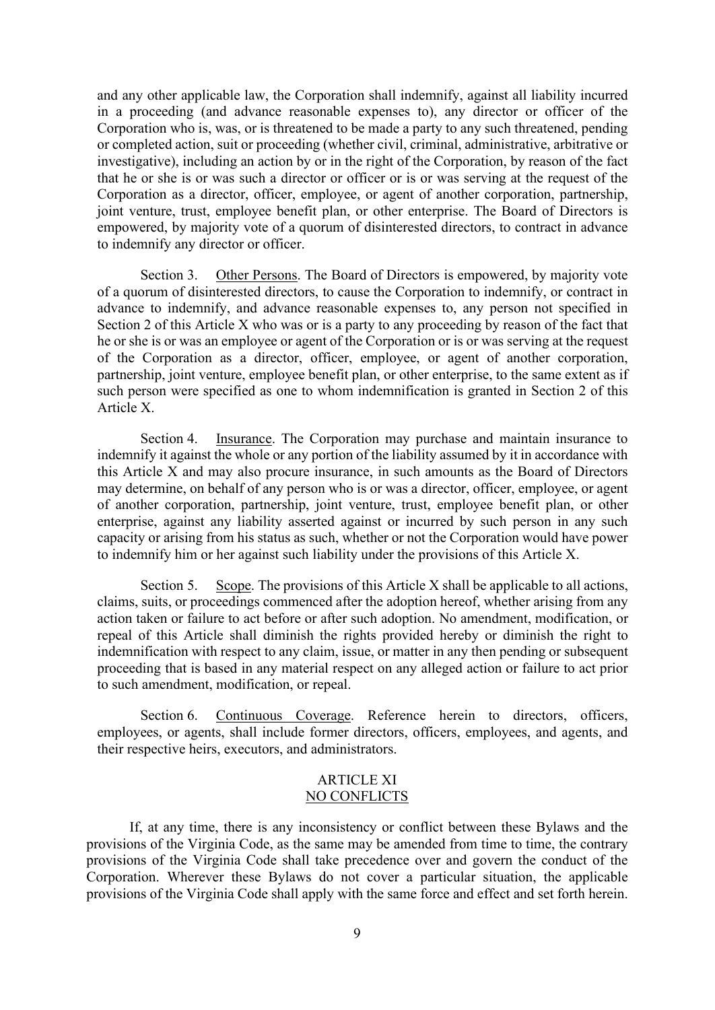and any other applicable law, the Corporation shall indemnify, against all liability incurred in a proceeding (and advance reasonable expenses to), any director or officer of the Corporation who is, was, or is threatened to be made a party to any such threatened, pending or completed action, suit or proceeding (whether civil, criminal, administrative, arbitrative or investigative), including an action by or in the right of the Corporation, by reason of the fact that he or she is or was such a director or officer or is or was serving at the request of the Corporation as a director, officer, employee, or agent of another corporation, partnership, joint venture, trust, employee benefit plan, or other enterprise. The Board of Directors is empowered, by majority vote of a quorum of disinterested directors, to contract in advance to indemnify any director or officer.

<span id="page-11-0"></span>Section 3. Other Persons. The Board of Directors is empowered, by majority vote of a quorum of disinterested directors, to cause the Corporation to indemnify, or contract in advance to indemnify, and advance reasonable expenses to, any person not specified in Section 2 of this Article X who was or is a party to any proceeding by reason of the fact that he or she is or was an employee or agent of the Corporation or is or was serving at the request of the Corporation as a director, officer, employee, or agent of another corporation, partnership, joint venture, employee benefit plan, or other enterprise, to the same extent as if such person were specified as one to whom indemnification is granted in Section 2 of this Article X.

<span id="page-11-1"></span>Section 4. Insurance. The Corporation may purchase and maintain insurance to indemnify it against the whole or any portion of the liability assumed by it in accordance with this Article X and may also procure insurance, in such amounts as the Board of Directors may determine, on behalf of any person who is or was a director, officer, employee, or agent of another corporation, partnership, joint venture, trust, employee benefit plan, or other enterprise, against any liability asserted against or incurred by such person in any such capacity or arising from his status as such, whether or not the Corporation would have power to indemnify him or her against such liability under the provisions of this Article X.

<span id="page-11-2"></span>Section 5. Scope. The provisions of this Article X shall be applicable to all actions, claims, suits, or proceedings commenced after the adoption hereof, whether arising from any action taken or failure to act before or after such adoption. No amendment, modification, or repeal of this Article shall diminish the rights provided hereby or diminish the right to indemnification with respect to any claim, issue, or matter in any then pending or subsequent proceeding that is based in any material respect on any alleged action or failure to act prior to such amendment, modification, or repeal.

<span id="page-11-4"></span><span id="page-11-3"></span>Section 6. Continuous Coverage. Reference herein to directors, officers, employees, or agents, shall include former directors, officers, employees, and agents, and their respective heirs, executors, and administrators.

#### ARTICLE XI NO CONFLICTS

If, at any time, there is any inconsistency or conflict between these Bylaws and the provisions of the Virginia Code, as the same may be amended from time to time, the contrary provisions of the Virginia Code shall take precedence over and govern the conduct of the Corporation. Wherever these Bylaws do not cover a particular situation, the applicable provisions of the Virginia Code shall apply with the same force and effect and set forth herein.